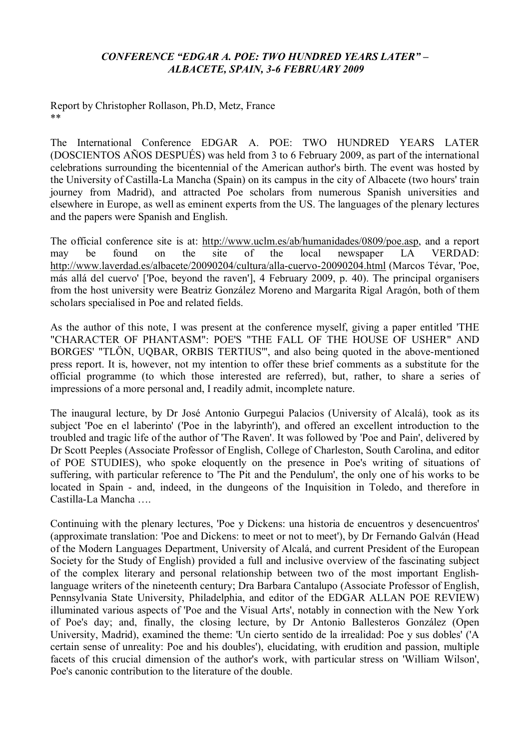## *CONFERENCE "EDGAR A. POE: TWO HUNDRED YEARS LATER" – ALBACETE, SPAIN, 3-6 FEBRUARY 2009*

Report by Christopher Rollason, Ph.D, Metz, France \*\*

The International Conference EDGAR A. POE: TWO HUNDRED YEARS LATER (DOSCIENTOS AÑOS DESPUÉS) was held from 3 to 6 February 2009, as part of the international celebrations surrounding the bicentennial of the American author's birth. The event was hosted by the University of Castilla-La Mancha (Spain) on its campus in the city of Albacete (two hours' train journey from Madrid), and attracted Poe scholars from numerous Spanish universities and elsewhere in Europe, as well as eminent experts from the US. The languages of the plenary lectures and the papers were Spanish and English.

The official conference site is at: http://www.uclm.es/ab/humanidades/0809/poe.asp, and a report may be found on the site of the local newspaper LA VERDAD: http://www.laverdad.es/albacete/20090204/cultura/alla-cuervo-20090204.html (Marcos Tévar, 'Poe, más allá del cuervo' ['Poe, beyond the raven'], 4 February 2009, p. 40). The principal organisers from the host university were Beatriz González Moreno and Margarita Rigal Aragón, both of them scholars specialised in Poe and related fields.

As the author of this note, I was present at the conference myself, giving a paper entitled 'THE "CHARACTER OF PHANTASM": POE'S "THE FALL OF THE HOUSE OF USHER" AND BORGES' "TLÖN, UQBAR, ORBIS TERTIUS''', and also being quoted in the above-mentioned press report. It is, however, not my intention to offer these brief comments as a substitute for the official programme (to which those interested are referred), but, rather, to share a series of impressions of a more personal and, I readily admit, incomplete nature.

The inaugural lecture, by Dr José Antonio Gurpegui Palacios (University of Alcalá), took as its subject 'Poe en el laberinto' ('Poe in the labyrinth'), and offered an excellent introduction to the troubled and tragic life of the author of 'The Raven'. It was followed by 'Poe and Pain', delivered by Dr Scott Peeples (Associate Professor of English, College of Charleston, South Carolina, and editor of POE STUDIES), who spoke eloquently on the presence in Poe's writing of situations of suffering, with particular reference to 'The Pit and the Pendulum', the only one of his works to be located in Spain - and, indeed, in the dungeons of the Inquisition in Toledo, and therefore in Castilla-La Mancha ….

Continuing with the plenary lectures, 'Poe y Dickens: una historia de encuentros y desencuentros' (approximate translation: 'Poe and Dickens: to meet or not to meet'), by Dr Fernando Galván (Head of the Modern Languages Department, University of Alcalá, and current President of the European Society for the Study of English) provided a full and inclusive overview of the fascinating subject of the complex literary and personal relationship between two of the most important Englishlanguage writers of the nineteenth century; Dra Barbara Cantalupo (Associate Professor of English, Pennsylvania State University, Philadelphia, and editor of the EDGAR ALLAN POE REVIEW) illuminated various aspects of 'Poe and the Visual Arts', notably in connection with the New York of Poe's day; and, finally, the closing lecture, by Dr Antonio Ballesteros González (Open University, Madrid), examined the theme: 'Un cierto sentido de la irrealidad: Poe y sus dobles' ('A certain sense of unreality: Poe and his doubles'), elucidating, with erudition and passion, multiple facets of this crucial dimension of the author's work, with particular stress on 'William Wilson', Poe's canonic contribution to the literature of the double.